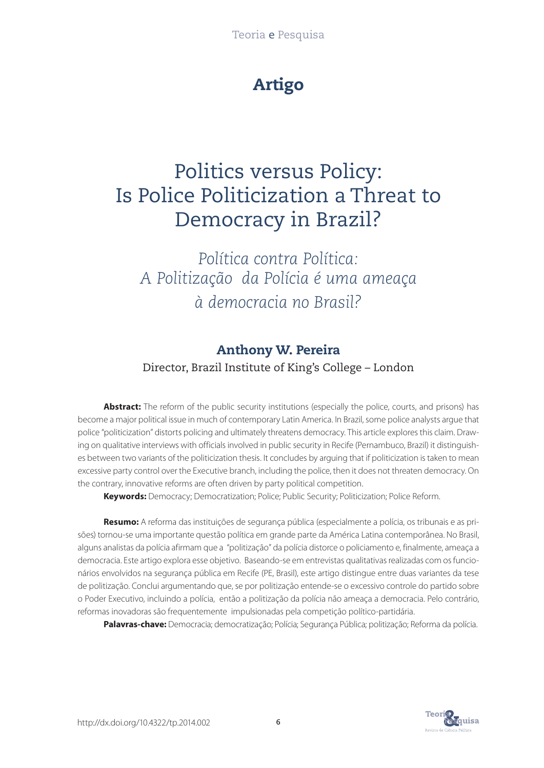Teoria e Pesquisa

## Artigo

# Politics versus Policy: Is Police Politicization a Threat to Democracy in Brazil?

## *Política contra Política: A Politização da Polícia é uma ameaça à democracia no Brasil?*

## Anthony W. Pereira Director, Brazil Institute of King's College – London

Abstract: The reform of the public security institutions (especially the police, courts, and prisons) has become a major political issue in much of contemporary Latin America. In Brazil, some police analysts argue that police "politicization" distorts policing and ultimately threatens democracy. This article explores this claim. Drawing on qualitative interviews with officials involved in public security in Recife (Pernambuco, Brazil) it distinguishes between two variants of the politicization thesis. It concludes by arguing that if politicization is taken to mean excessive party control over the Executive branch, including the police, then it does not threaten democracy. On the contrary, innovative reforms are often driven by party political competition.

**Keywords:** Democracy; Democratization; Police; Public Security; Politicization; Police Reform.

**Resumo:** A reforma das instituições de segurança pública (especialmente a polícia, os tribunais e as prisões) tornou-se uma importante questão política em grande parte da América Latina contemporânea. No Brasil, alguns analistas da polícia afirmam que a "politização" da polícia distorce o policiamento e, finalmente, ameaça a democracia. Este artigo explora esse objetivo. Baseando-se em entrevistas qualitativas realizadas com os funcionários envolvidos na segurança pública em Recife (PE, Brasil), este artigo distingue entre duas variantes da tese de politização. Conclui argumentando que, se por politização entende-se o excessivo controle do partido sobre o Poder Executivo, incluindo a polícia, então a politização da polícia não ameaça a democracia. Pelo contrário, reformas inovadoras são frequentemente impulsionadas pela competição político-partidária.

**Palavras-chave:** Democracia; democratização; Polícia; Segurança Pública; politização; Reforma da polícia.

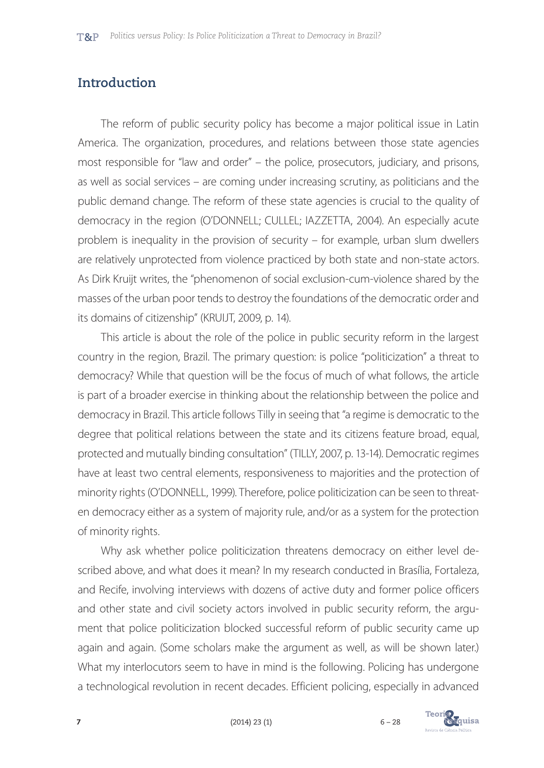## **Introduction**

The reform of public security policy has become a major political issue in Latin America. The organization, procedures, and relations between those state agencies most responsible for "law and order" – the police, prosecutors, judiciary, and prisons, as well as social services – are coming under increasing scrutiny, as politicians and the public demand change. The reform of these state agencies is crucial to the quality of democracy in the region (O'DONNELL; CULLEL; IAZZETTA, 2004). An especially acute problem is inequality in the provision of security – for example, urban slum dwellers are relatively unprotected from violence practiced by both state and non-state actors. As Dirk Kruijt writes, the "phenomenon of social exclusion-cum-violence shared by the masses of the urban poor tends to destroy the foundations of the democratic order and its domains of citizenship" (KRUIJT, 2009, p. 14).

This article is about the role of the police in public security reform in the largest country in the region, Brazil. The primary question: is police "politicization" a threat to democracy? While that question will be the focus of much of what follows, the article is part of a broader exercise in thinking about the relationship between the police and democracy in Brazil. This article follows Tilly in seeing that "a regime is democratic to the degree that political relations between the state and its citizens feature broad, equal, protected and mutually binding consultation" (TILLY, 2007, p. 13-14). Democratic regimes have at least two central elements, responsiveness to majorities and the protection of minority rights (O'DONNELL, 1999). Therefore, police politicization can be seen to threaten democracy either as a system of majority rule, and/or as a system for the protection of minority rights.

Why ask whether police politicization threatens democracy on either level described above, and what does it mean? In my research conducted in Brasília, Fortaleza, and Recife, involving interviews with dozens of active duty and former police officers and other state and civil society actors involved in public security reform, the argument that police politicization blocked successful reform of public security came up again and again. (Some scholars make the argument as well, as will be shown later.) What my interlocutors seem to have in mind is the following. Policing has undergone a technological revolution in recent decades. Efficient policing, especially in advanced

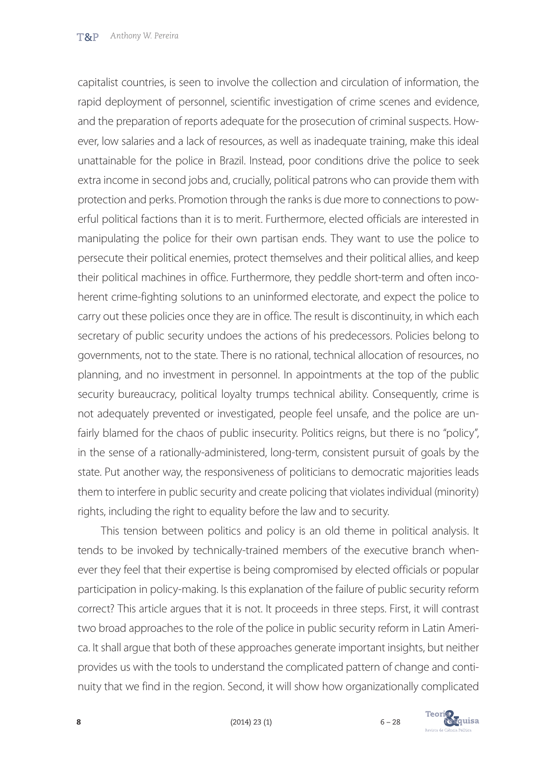capitalist countries, is seen to involve the collection and circulation of information, the rapid deployment of personnel, scientific investigation of crime scenes and evidence, and the preparation of reports adequate for the prosecution of criminal suspects. However, low salaries and a lack of resources, as well as inadequate training, make this ideal unattainable for the police in Brazil. Instead, poor conditions drive the police to seek extra income in second jobs and, crucially, political patrons who can provide them with protection and perks. Promotion through the ranks is due more to connections to powerful political factions than it is to merit. Furthermore, elected officials are interested in manipulating the police for their own partisan ends. They want to use the police to persecute their political enemies, protect themselves and their political allies, and keep their political machines in office. Furthermore, they peddle short-term and often incoherent crime-fighting solutions to an uninformed electorate, and expect the police to carry out these policies once they are in office. The result is discontinuity, in which each secretary of public security undoes the actions of his predecessors. Policies belong to governments, not to the state. There is no rational, technical allocation of resources, no planning, and no investment in personnel. In appointments at the top of the public security bureaucracy, political loyalty trumps technical ability. Consequently, crime is not adequately prevented or investigated, people feel unsafe, and the police are unfairly blamed for the chaos of public insecurity. Politics reigns, but there is no "policy", in the sense of a rationally-administered, long-term, consistent pursuit of goals by the state. Put another way, the responsiveness of politicians to democratic majorities leads them to interfere in public security and create policing that violates individual (minority) rights, including the right to equality before the law and to security.

This tension between politics and policy is an old theme in political analysis. It tends to be invoked by technically-trained members of the executive branch whenever they feel that their expertise is being compromised by elected officials or popular participation in policy-making. Is this explanation of the failure of public security reform correct? This article argues that it is not. It proceeds in three steps. First, it will contrast two broad approaches to the role of the police in public security reform in Latin America. It shall argue that both of these approaches generate important insights, but neither provides us with the tools to understand the complicated pattern of change and continuity that we find in the region. Second, it will show how organizationally complicated

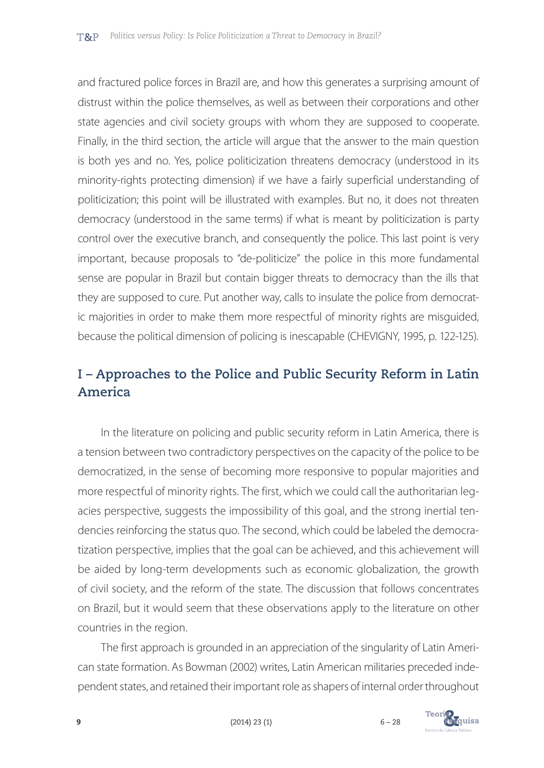and fractured police forces in Brazil are, and how this generates a surprising amount of distrust within the police themselves, as well as between their corporations and other state agencies and civil society groups with whom they are supposed to cooperate. Finally, in the third section, the article will argue that the answer to the main question is both yes and no. Yes, police politicization threatens democracy (understood in its minority-rights protecting dimension) if we have a fairly superficial understanding of politicization; this point will be illustrated with examples. But no, it does not threaten democracy (understood in the same terms) if what is meant by politicization is party control over the executive branch, and consequently the police. This last point is very important, because proposals to "de-politicize" the police in this more fundamental sense are popular in Brazil but contain bigger threats to democracy than the ills that they are supposed to cure. Put another way, calls to insulate the police from democratic majorities in order to make them more respectful of minority rights are misguided, because the political dimension of policing is inescapable (CHEVIGNY, 1995, p. 122-125).

## **I – Approaches to the Police and Public Security Reform in Latin America**

In the literature on policing and public security reform in Latin America, there is a tension between two contradictory perspectives on the capacity of the police to be democratized, in the sense of becoming more responsive to popular majorities and more respectful of minority rights. The first, which we could call the authoritarian legacies perspective, suggests the impossibility of this goal, and the strong inertial tendencies reinforcing the status quo. The second, which could be labeled the democratization perspective, implies that the goal can be achieved, and this achievement will be aided by long-term developments such as economic globalization, the growth of civil society, and the reform of the state. The discussion that follows concentrates on Brazil, but it would seem that these observations apply to the literature on other countries in the region.

The first approach is grounded in an appreciation of the singularity of Latin American state formation. As Bowman (2002) writes, Latin American militaries preceded independent states, and retained their important role as shapers of internal order throughout

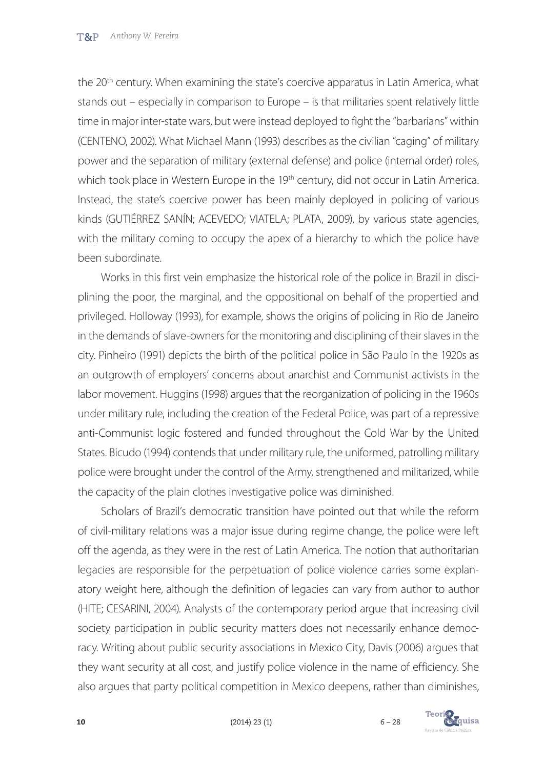the 20<sup>th</sup> century. When examining the state's coercive apparatus in Latin America, what stands out – especially in comparison to Europe – is that militaries spent relatively little time in major inter-state wars, but were instead deployed to fight the "barbarians" within (CENTENO, 2002). What Michael Mann (1993) describes as the civilian "caging" of military power and the separation of military (external defense) and police (internal order) roles, which took place in Western Europe in the 19<sup>th</sup> century, did not occur in Latin America. Instead, the state's coercive power has been mainly deployed in policing of various kinds (GUTIÉRREZ SANÍN; ACEVEDO; VIATELA; PLATA, 2009), by various state agencies, with the military coming to occupy the apex of a hierarchy to which the police have been subordinate.

Works in this first vein emphasize the historical role of the police in Brazil in disciplining the poor, the marginal, and the oppositional on behalf of the propertied and privileged. Holloway (1993), for example, shows the origins of policing in Rio de Janeiro in the demands of slave-owners for the monitoring and disciplining of their slaves in the city. Pinheiro (1991) depicts the birth of the political police in São Paulo in the 1920s as an outgrowth of employers' concerns about anarchist and Communist activists in the labor movement. Huggins (1998) argues that the reorganization of policing in the 1960s under military rule, including the creation of the Federal Police, was part of a repressive anti-Communist logic fostered and funded throughout the Cold War by the United States. Bicudo (1994) contends that under military rule, the uniformed, patrolling military police were brought under the control of the Army, strengthened and militarized, while the capacity of the plain clothes investigative police was diminished.

Scholars of Brazil's democratic transition have pointed out that while the reform of civil-military relations was a major issue during regime change, the police were left off the agenda, as they were in the rest of Latin America. The notion that authoritarian legacies are responsible for the perpetuation of police violence carries some explanatory weight here, although the definition of legacies can vary from author to author (HITE; CESARINI, 2004). Analysts of the contemporary period argue that increasing civil society participation in public security matters does not necessarily enhance democracy. Writing about public security associations in Mexico City, Davis (2006) argues that they want security at all cost, and justify police violence in the name of efficiency. She also argues that party political competition in Mexico deepens, rather than diminishes,

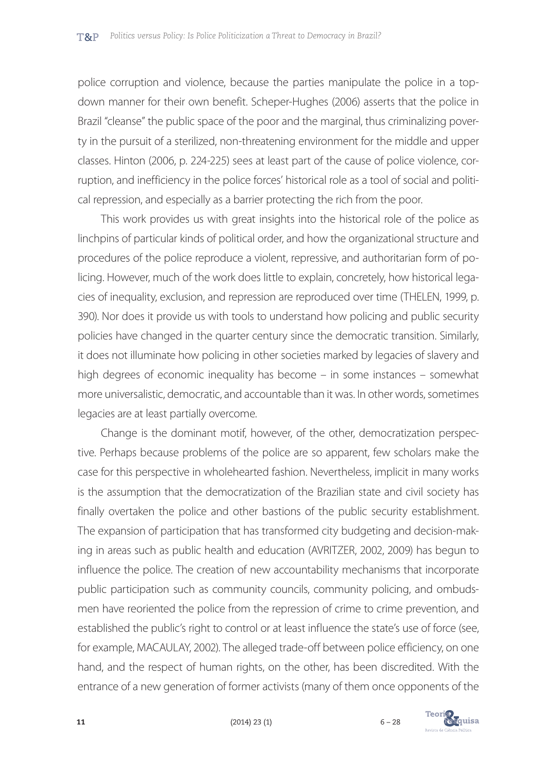police corruption and violence, because the parties manipulate the police in a topdown manner for their own benefit. Scheper-Hughes (2006) asserts that the police in Brazil "cleanse" the public space of the poor and the marginal, thus criminalizing poverty in the pursuit of a sterilized, non-threatening environment for the middle and upper classes. Hinton (2006, p. 224-225) sees at least part of the cause of police violence, corruption, and inefficiency in the police forces' historical role as a tool of social and political repression, and especially as a barrier protecting the rich from the poor.

This work provides us with great insights into the historical role of the police as linchpins of particular kinds of political order, and how the organizational structure and procedures of the police reproduce a violent, repressive, and authoritarian form of policing. However, much of the work does little to explain, concretely, how historical legacies of inequality, exclusion, and repression are reproduced over time (THELEN, 1999, p. 390). Nor does it provide us with tools to understand how policing and public security policies have changed in the quarter century since the democratic transition. Similarly, it does not illuminate how policing in other societies marked by legacies of slavery and high degrees of economic inequality has become – in some instances – somewhat more universalistic, democratic, and accountable than it was. In other words, sometimes legacies are at least partially overcome.

Change is the dominant motif, however, of the other, democratization perspective. Perhaps because problems of the police are so apparent, few scholars make the case for this perspective in wholehearted fashion. Nevertheless, implicit in many works is the assumption that the democratization of the Brazilian state and civil society has finally overtaken the police and other bastions of the public security establishment. The expansion of participation that has transformed city budgeting and decision-making in areas such as public health and education (AVRITZER, 2002, 2009) has begun to influence the police. The creation of new accountability mechanisms that incorporate public participation such as community councils, community policing, and ombudsmen have reoriented the police from the repression of crime to crime prevention, and established the public's right to control or at least influence the state's use of force (see, for example, MACAULAY, 2002). The alleged trade-off between police efficiency, on one hand, and the respect of human rights, on the other, has been discredited. With the entrance of a new generation of former activists (many of them once opponents of the

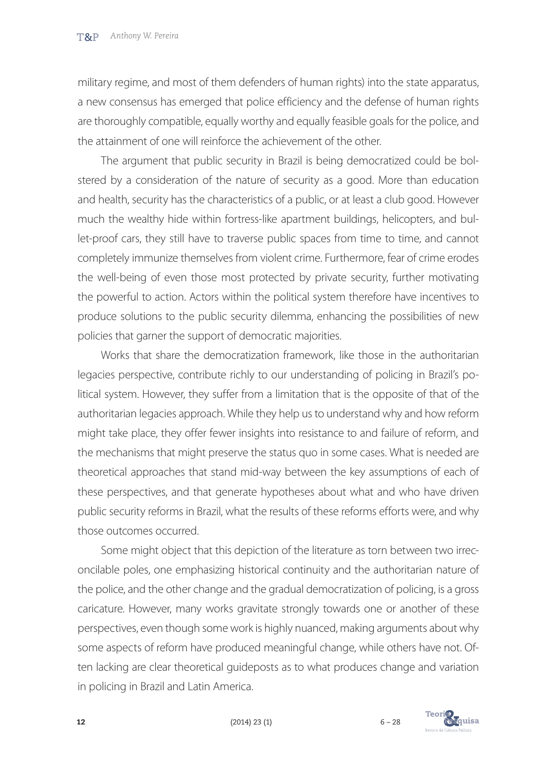military regime, and most of them defenders of human rights) into the state apparatus, a new consensus has emerged that police efficiency and the defense of human rights are thoroughly compatible, equally worthy and equally feasible goals for the police, and the attainment of one will reinforce the achievement of the other.

The argument that public security in Brazil is being democratized could be bolstered by a consideration of the nature of security as a good. More than education and health, security has the characteristics of a public, or at least a club good. However much the wealthy hide within fortress-like apartment buildings, helicopters, and bullet-proof cars, they still have to traverse public spaces from time to time, and cannot completely immunize themselves from violent crime. Furthermore, fear of crime erodes the well-being of even those most protected by private security, further motivating the powerful to action. Actors within the political system therefore have incentives to produce solutions to the public security dilemma, enhancing the possibilities of new policies that garner the support of democratic majorities.

Works that share the democratization framework, like those in the authoritarian legacies perspective, contribute richly to our understanding of policing in Brazil's political system. However, they suffer from a limitation that is the opposite of that of the authoritarian legacies approach. While they help us to understand why and how reform might take place, they offer fewer insights into resistance to and failure of reform, and the mechanisms that might preserve the status quo in some cases. What is needed are theoretical approaches that stand mid-way between the key assumptions of each of these perspectives, and that generate hypotheses about what and who have driven public security reforms in Brazil, what the results of these reforms efforts were, and why those outcomes occurred.

Some might object that this depiction of the literature as torn between two irreconcilable poles, one emphasizing historical continuity and the authoritarian nature of the police, and the other change and the gradual democratization of policing, is a gross caricature. However, many works gravitate strongly towards one or another of these perspectives, even though some work is highly nuanced, making arguments about why some aspects of reform have produced meaningful change, while others have not. Often lacking are clear theoretical guideposts as to what produces change and variation in policing in Brazil and Latin America.

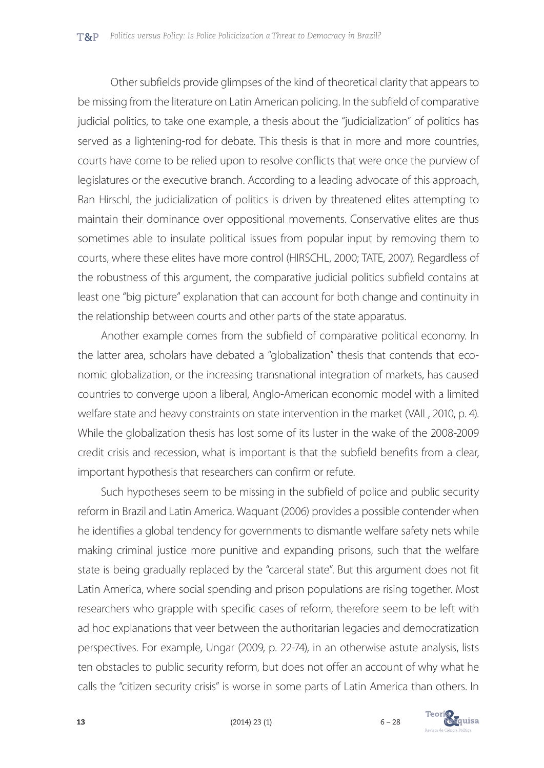Other subfields provide glimpses of the kind of theoretical clarity that appears to be missing from the literature on Latin American policing. In the subfield of comparative judicial politics, to take one example, a thesis about the "judicialization" of politics has served as a lightening-rod for debate. This thesis is that in more and more countries, courts have come to be relied upon to resolve conflicts that were once the purview of legislatures or the executive branch. According to a leading advocate of this approach, Ran Hirschl, the judicialization of politics is driven by threatened elites attempting to maintain their dominance over oppositional movements. Conservative elites are thus sometimes able to insulate political issues from popular input by removing them to courts, where these elites have more control (HIRSCHL, 2000; TATE, 2007). Regardless of the robustness of this argument, the comparative judicial politics subfield contains at least one "big picture" explanation that can account for both change and continuity in the relationship between courts and other parts of the state apparatus.

Another example comes from the subfield of comparative political economy. In the latter area, scholars have debated a "globalization" thesis that contends that economic globalization, or the increasing transnational integration of markets, has caused countries to converge upon a liberal, Anglo-American economic model with a limited welfare state and heavy constraints on state intervention in the market (VAIL, 2010, p. 4). While the globalization thesis has lost some of its luster in the wake of the 2008-2009 credit crisis and recession, what is important is that the subfield benefits from a clear, important hypothesis that researchers can confirm or refute.

Such hypotheses seem to be missing in the subfield of police and public security reform in Brazil and Latin America. Waquant (2006) provides a possible contender when he identifies a global tendency for governments to dismantle welfare safety nets while making criminal justice more punitive and expanding prisons, such that the welfare state is being gradually replaced by the "carceral state". But this argument does not fit Latin America, where social spending and prison populations are rising together. Most researchers who grapple with specific cases of reform, therefore seem to be left with ad hoc explanations that veer between the authoritarian legacies and democratization perspectives. For example, Ungar (2009, p. 22-74), in an otherwise astute analysis, lists ten obstacles to public security reform, but does not offer an account of why what he calls the "citizen security crisis" is worse in some parts of Latin America than others. In

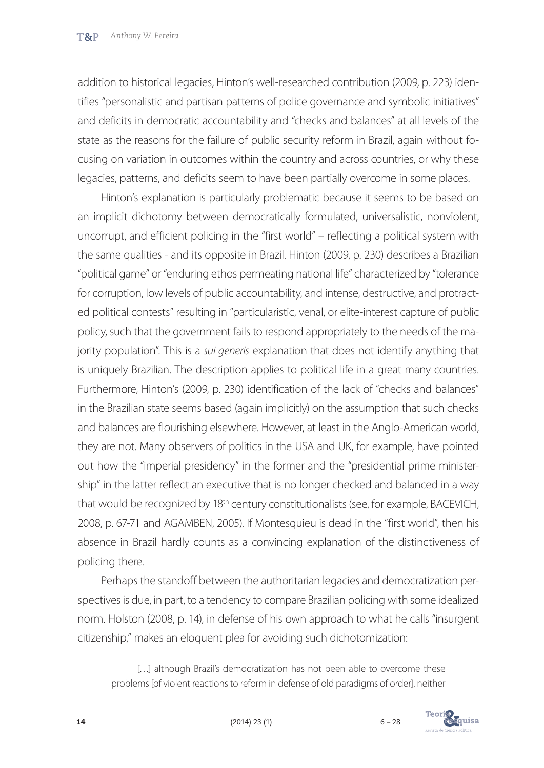addition to historical legacies, Hinton's well-researched contribution (2009, p. 223) identifies "personalistic and partisan patterns of police governance and symbolic initiatives" and deficits in democratic accountability and "checks and balances" at all levels of the state as the reasons for the failure of public security reform in Brazil, again without focusing on variation in outcomes within the country and across countries, or why these legacies, patterns, and deficits seem to have been partially overcome in some places.

Hinton's explanation is particularly problematic because it seems to be based on an implicit dichotomy between democratically formulated, universalistic, nonviolent, uncorrupt, and efficient policing in the "first world" – reflecting a political system with the same qualities - and its opposite in Brazil. Hinton (2009, p. 230) describes a Brazilian "political game" or "enduring ethos permeating national life" characterized by "tolerance for corruption, low levels of public accountability, and intense, destructive, and protracted political contests" resulting in "particularistic, venal, or elite-interest capture of public policy, such that the government fails to respond appropriately to the needs of the majority population". This is a *sui generis* explanation that does not identify anything that is uniquely Brazilian. The description applies to political life in a great many countries. Furthermore, Hinton's (2009, p. 230) identification of the lack of "checks and balances" in the Brazilian state seems based (again implicitly) on the assumption that such checks and balances are flourishing elsewhere. However, at least in the Anglo-American world, they are not. Many observers of politics in the USA and UK, for example, have pointed out how the "imperial presidency" in the former and the "presidential prime ministership" in the latter reflect an executive that is no longer checked and balanced in a way that would be recognized by 18<sup>th</sup> century constitutionalists (see, for example, BACEVICH, 2008, p. 67-71 and AGAMBEN, 2005). If Montesquieu is dead in the "first world", then his absence in Brazil hardly counts as a convincing explanation of the distinctiveness of policing there.

Perhaps the standoff between the authoritarian legacies and democratization perspectives is due, in part, to a tendency to compare Brazilian policing with some idealized norm. Holston (2008, p. 14), in defense of his own approach to what he calls "insurgent citizenship," makes an eloquent plea for avoiding such dichotomization:

[...] although Brazil's democratization has not been able to overcome these problems [of violent reactions to reform in defense of old paradigms of order], neither

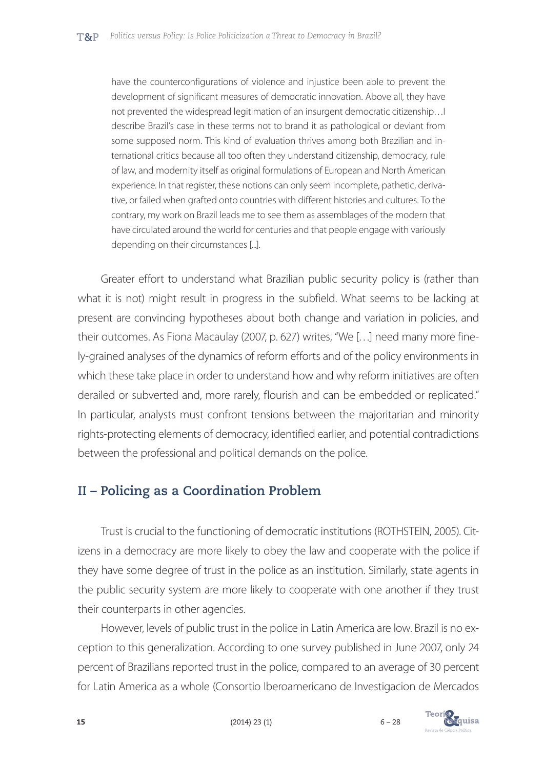have the counterconfigurations of violence and injustice been able to prevent the development of significant measures of democratic innovation. Above all, they have not prevented the widespread legitimation of an insurgent democratic citizenship…I describe Brazil's case in these terms not to brand it as pathological or deviant from some supposed norm. This kind of evaluation thrives among both Brazilian and international critics because all too often they understand citizenship, democracy, rule of law, and modernity itself as original formulations of European and North American experience. In that register, these notions can only seem incomplete, pathetic, derivative, or failed when grafted onto countries with different histories and cultures. To the contrary, my work on Brazil leads me to see them as assemblages of the modern that have circulated around the world for centuries and that people engage with variously depending on their circumstances [...].

Greater effort to understand what Brazilian public security policy is (rather than what it is not) might result in progress in the subfield. What seems to be lacking at present are convincing hypotheses about both change and variation in policies, and their outcomes. As Fiona Macaulay (2007, p. 627) writes, "We […] need many more finely-grained analyses of the dynamics of reform efforts and of the policy environments in which these take place in order to understand how and why reform initiatives are often derailed or subverted and, more rarely, flourish and can be embedded or replicated." In particular, analysts must confront tensions between the majoritarian and minority rights-protecting elements of democracy, identified earlier, and potential contradictions between the professional and political demands on the police.

#### **II – Policing as a Coordination Problem**

Trust is crucial to the functioning of democratic institutions (ROTHSTEIN, 2005). Citizens in a democracy are more likely to obey the law and cooperate with the police if they have some degree of trust in the police as an institution. Similarly, state agents in the public security system are more likely to cooperate with one another if they trust their counterparts in other agencies.

However, levels of public trust in the police in Latin America are low. Brazil is no exception to this generalization. According to one survey published in June 2007, only 24 percent of Brazilians reported trust in the police, compared to an average of 30 percent for Latin America as a whole (Consortio Iberoamericano de Investigacion de Mercados

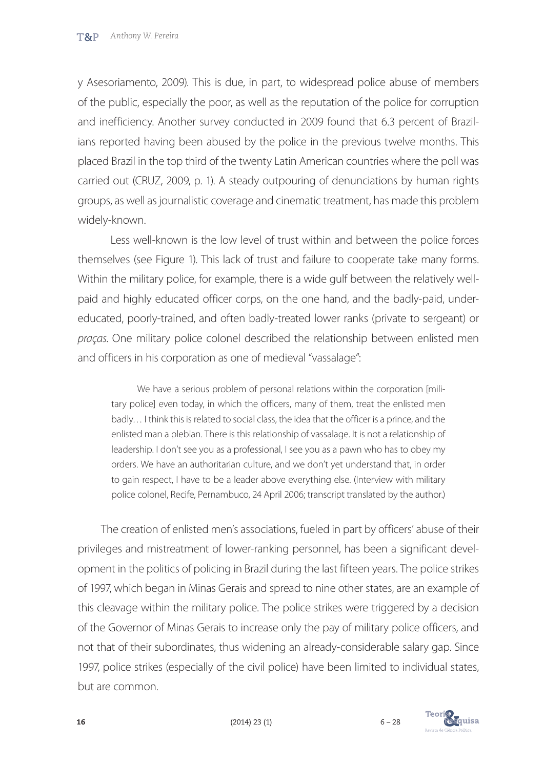y Asesoriamento, 2009). This is due, in part, to widespread police abuse of members of the public, especially the poor, as well as the reputation of the police for corruption and inefficiency. Another survey conducted in 2009 found that 6.3 percent of Brazilians reported having been abused by the police in the previous twelve months. This placed Brazil in the top third of the twenty Latin American countries where the poll was carried out (CRUZ, 2009, p. 1). A steady outpouring of denunciations by human rights groups, as well as journalistic coverage and cinematic treatment, has made this problem widely-known.

Less well-known is the low level of trust within and between the police forces themselves (see Figure 1). This lack of trust and failure to cooperate take many forms. Within the military police, for example, there is a wide gulf between the relatively wellpaid and highly educated officer corps, on the one hand, and the badly-paid, undereducated, poorly-trained, and often badly-treated lower ranks (private to sergeant) or *praças*. One military police colonel described the relationship between enlisted men and officers in his corporation as one of medieval "vassalage":

We have a serious problem of personal relations within the corporation [military police] even today, in which the officers, many of them, treat the enlisted men badly… I think this is related to social class, the idea that the officer is a prince, and the enlisted man a plebian. There is this relationship of vassalage. It is not a relationship of leadership. I don't see you as a professional, I see you as a pawn who has to obey my orders. We have an authoritarian culture, and we don't yet understand that, in order to gain respect, I have to be a leader above everything else. (Interview with military police colonel, Recife, Pernambuco, 24 April 2006; transcript translated by the author.)

The creation of enlisted men's associations, fueled in part by officers' abuse of their privileges and mistreatment of lower-ranking personnel, has been a significant development in the politics of policing in Brazil during the last fifteen years. The police strikes of 1997, which began in Minas Gerais and spread to nine other states, are an example of this cleavage within the military police. The police strikes were triggered by a decision of the Governor of Minas Gerais to increase only the pay of military police officers, and not that of their subordinates, thus widening an already-considerable salary gap. Since 1997, police strikes (especially of the civil police) have been limited to individual states, but are common.

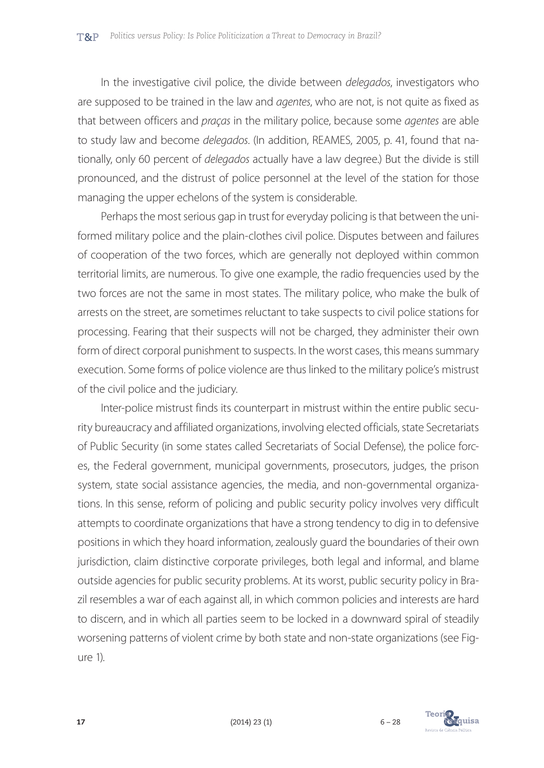In the investigative civil police, the divide between *delegados*, investigators who are supposed to be trained in the law and *agentes*, who are not, is not quite as fixed as that between officers and *praças* in the military police, because some *agentes* are able to study law and become *delegados*. (In addition, REAMES, 2005, p. 41, found that nationally, only 60 percent of *delegados* actually have a law degree.) But the divide is still pronounced, and the distrust of police personnel at the level of the station for those managing the upper echelons of the system is considerable.

Perhaps the most serious gap in trust for everyday policing is that between the uniformed military police and the plain-clothes civil police. Disputes between and failures of cooperation of the two forces, which are generally not deployed within common territorial limits, are numerous. To give one example, the radio frequencies used by the two forces are not the same in most states. The military police, who make the bulk of arrests on the street, are sometimes reluctant to take suspects to civil police stations for processing. Fearing that their suspects will not be charged, they administer their own form of direct corporal punishment to suspects. In the worst cases, this means summary execution. Some forms of police violence are thus linked to the military police's mistrust of the civil police and the judiciary.

Inter-police mistrust finds its counterpart in mistrust within the entire public security bureaucracy and affiliated organizations, involving elected officials, state Secretariats of Public Security (in some states called Secretariats of Social Defense), the police forces, the Federal government, municipal governments, prosecutors, judges, the prison system, state social assistance agencies, the media, and non-governmental organizations. In this sense, reform of policing and public security policy involves very difficult attempts to coordinate organizations that have a strong tendency to dig in to defensive positions in which they hoard information, zealously guard the boundaries of their own jurisdiction, claim distinctive corporate privileges, both legal and informal, and blame outside agencies for public security problems. At its worst, public security policy in Brazil resembles a war of each against all, in which common policies and interests are hard to discern, and in which all parties seem to be locked in a downward spiral of steadily worsening patterns of violent crime by both state and non-state organizations (see Figure 1).

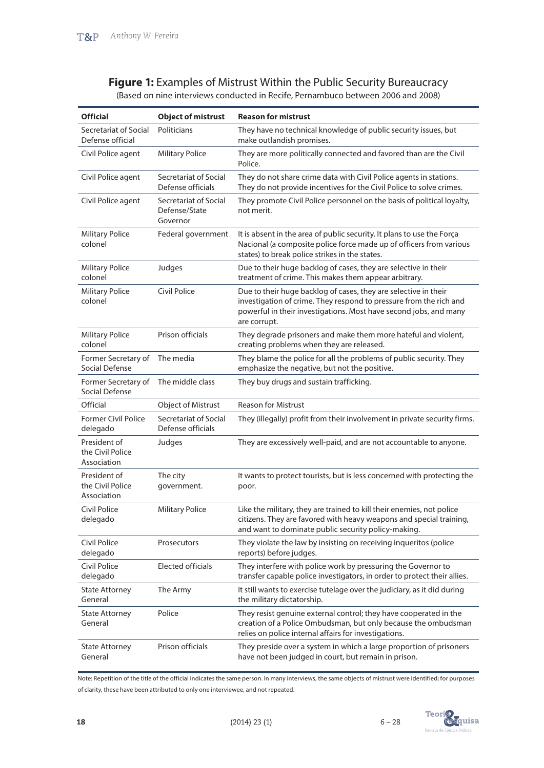## Figure 1: Examples of Mistrust Within the Public Security Bureaucracy

|                                                       | (based on rillie litterviews conducted in Recile, Fernanibuco between 2000 and 2000) |                                                                                              |  |  |
|-------------------------------------------------------|--------------------------------------------------------------------------------------|----------------------------------------------------------------------------------------------|--|--|
| Official                                              | <b>Obiect of mistrust</b>                                                            | Reason for mistrust                                                                          |  |  |
| Secretariat of Social Politicians<br>Defense official |                                                                                      | They have no technical knowledge of public security issues, but<br>make outlandish promises. |  |  |

(Based on nine interviews conducted in Recife, Pernambuco between 2006 and 2008)

| Secretariat of Social<br>Defense official       | Politicians                                        | They have no technical knowledge of public security issues, but<br>make outlandish promises.                                                                                                                               |
|-------------------------------------------------|----------------------------------------------------|----------------------------------------------------------------------------------------------------------------------------------------------------------------------------------------------------------------------------|
| Civil Police agent                              | <b>Military Police</b>                             | They are more politically connected and favored than are the Civil<br>Police.                                                                                                                                              |
| Civil Police agent                              | Secretariat of Social<br>Defense officials         | They do not share crime data with Civil Police agents in stations.<br>They do not provide incentives for the Civil Police to solve crimes.                                                                                 |
| Civil Police agent                              | Secretariat of Social<br>Defense/State<br>Governor | They promote Civil Police personnel on the basis of political loyalty,<br>not merit.                                                                                                                                       |
| <b>Military Police</b><br>colonel               | Federal government                                 | It is absent in the area of public security. It plans to use the Força<br>Nacional (a composite police force made up of officers from various<br>states) to break police strikes in the states.                            |
| <b>Military Police</b><br>colonel               | Judges                                             | Due to their huge backlog of cases, they are selective in their<br>treatment of crime. This makes them appear arbitrary.                                                                                                   |
| <b>Military Police</b><br>colonel               | Civil Police                                       | Due to their huge backlog of cases, they are selective in their<br>investigation of crime. They respond to pressure from the rich and<br>powerful in their investigations. Most have second jobs, and many<br>are corrupt. |
| <b>Military Police</b><br>colonel               | Prison officials                                   | They degrade prisoners and make them more hateful and violent,<br>creating problems when they are released.                                                                                                                |
| Former Secretary of<br>Social Defense           | The media                                          | They blame the police for all the problems of public security. They<br>emphasize the negative, but not the positive.                                                                                                       |
| Former Secretary of<br>Social Defense           | The middle class                                   | They buy drugs and sustain trafficking.                                                                                                                                                                                    |
|                                                 |                                                    |                                                                                                                                                                                                                            |
| Official                                        | Object of Mistrust                                 | <b>Reason for Mistrust</b>                                                                                                                                                                                                 |
| <b>Former Civil Police</b><br>delegado          | Secretariat of Social<br>Defense officials         | They (illegally) profit from their involvement in private security firms.                                                                                                                                                  |
| President of<br>the Civil Police<br>Association | Judges                                             | They are excessively well-paid, and are not accountable to anyone.                                                                                                                                                         |
| President of<br>the Civil Police<br>Association | The city<br>government.                            | It wants to protect tourists, but is less concerned with protecting the<br>poor.                                                                                                                                           |
| Civil Police<br>delegado                        | <b>Military Police</b>                             | Like the military, they are trained to kill their enemies, not police<br>citizens. They are favored with heavy weapons and special training,<br>and want to dominate public security policy-making.                        |
| Civil Police<br>delegado                        | Prosecutors                                        | They violate the law by insisting on receiving inqueritos (police<br>reports) before judges.                                                                                                                               |
| Civil Police<br>delegado                        | <b>Elected officials</b>                           | They interfere with police work by pressuring the Governor to<br>transfer capable police investigators, in order to protect their allies.                                                                                  |
| <b>State Attorney</b><br>General                | The Army                                           | It still wants to exercise tutelage over the judiciary, as it did during<br>the military dictatorship.                                                                                                                     |
| <b>State Attorney</b><br>General                | Police                                             | They resist genuine external control; they have cooperated in the<br>creation of a Police Ombudsman, but only because the ombudsman<br>relies on police internal affairs for investigations.                               |

Note: Repetition of the title of the official indicates the same person. In many interviews, the same objects of mistrust were identified; for purposes of clarity, these have been attributed to only one interviewee, and not repeated.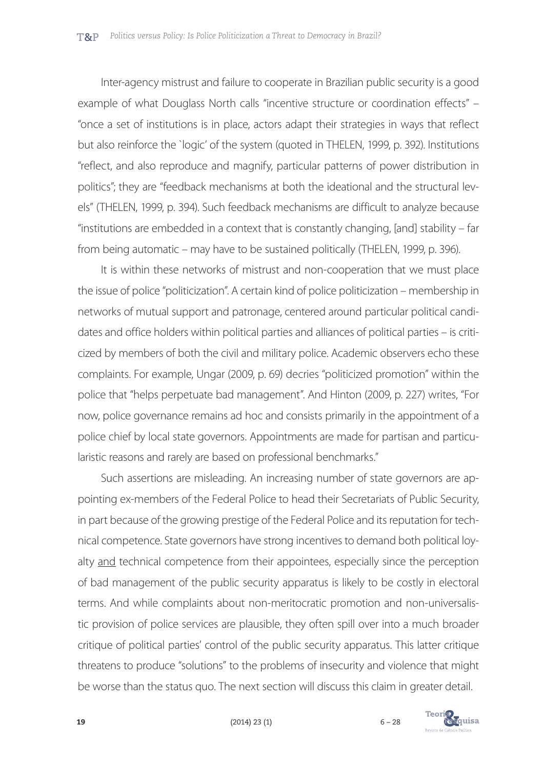Inter-agency mistrust and failure to cooperate in Brazilian public security is a good example of what Douglass North calls "incentive structure or coordination effects" – "once a set of institutions is in place, actors adapt their strategies in ways that reflect but also reinforce the `logic' of the system (quoted in THELEN, 1999, p. 392). Institutions "reflect, and also reproduce and magnify, particular patterns of power distribution in politics"; they are "feedback mechanisms at both the ideational and the structural levels" (THELEN, 1999, p. 394). Such feedback mechanisms are difficult to analyze because "institutions are embedded in a context that is constantly changing, [and] stability – far from being automatic – may have to be sustained politically (THELEN, 1999, p. 396).

It is within these networks of mistrust and non-cooperation that we must place the issue of police "politicization". A certain kind of police politicization – membership in networks of mutual support and patronage, centered around particular political candidates and office holders within political parties and alliances of political parties – is criticized by members of both the civil and military police. Academic observers echo these complaints. For example, Ungar (2009, p. 69) decries "politicized promotion" within the police that "helps perpetuate bad management". And Hinton (2009, p. 227) writes, "For now, police governance remains ad hoc and consists primarily in the appointment of a police chief by local state governors. Appointments are made for partisan and particularistic reasons and rarely are based on professional benchmarks."

Such assertions are misleading. An increasing number of state governors are appointing ex-members of the Federal Police to head their Secretariats of Public Security, in part because of the growing prestige of the Federal Police and its reputation for technical competence. State governors have strong incentives to demand both political loyalty and technical competence from their appointees, especially since the perception of bad management of the public security apparatus is likely to be costly in electoral terms. And while complaints about non-meritocratic promotion and non-universalistic provision of police services are plausible, they often spill over into a much broader critique of political parties' control of the public security apparatus. This latter critique threatens to produce "solutions" to the problems of insecurity and violence that might be worse than the status quo. The next section will discuss this claim in greater detail.

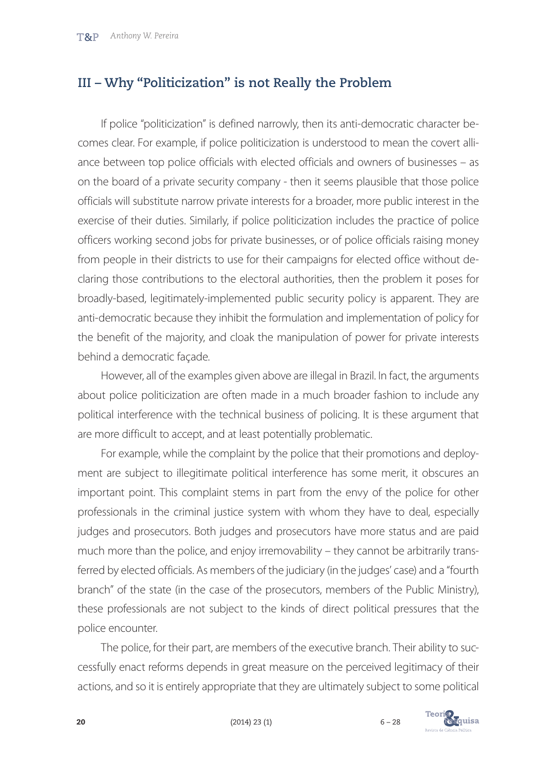### **III – Why "Politicization" is not Really the Problem**

If police "politicization" is defined narrowly, then its anti-democratic character becomes clear. For example, if police politicization is understood to mean the covert alliance between top police officials with elected officials and owners of businesses – as on the board of a private security company - then it seems plausible that those police officials will substitute narrow private interests for a broader, more public interest in the exercise of their duties. Similarly, if police politicization includes the practice of police officers working second jobs for private businesses, or of police officials raising money from people in their districts to use for their campaigns for elected office without declaring those contributions to the electoral authorities, then the problem it poses for broadly-based, legitimately-implemented public security policy is apparent. They are anti-democratic because they inhibit the formulation and implementation of policy for the benefit of the majority, and cloak the manipulation of power for private interests behind a democratic façade.

However, all of the examples given above are illegal in Brazil. In fact, the arguments about police politicization are often made in a much broader fashion to include any political interference with the technical business of policing. It is these argument that are more difficult to accept, and at least potentially problematic.

For example, while the complaint by the police that their promotions and deployment are subject to illegitimate political interference has some merit, it obscures an important point. This complaint stems in part from the envy of the police for other professionals in the criminal justice system with whom they have to deal, especially judges and prosecutors. Both judges and prosecutors have more status and are paid much more than the police, and enjoy irremovability – they cannot be arbitrarily transferred by elected officials. As members of the judiciary (in the judges' case) and a "fourth branch" of the state (in the case of the prosecutors, members of the Public Ministry), these professionals are not subject to the kinds of direct political pressures that the police encounter.

The police, for their part, are members of the executive branch. Their ability to successfully enact reforms depends in great measure on the perceived legitimacy of their actions, and so it is entirely appropriate that they are ultimately subject to some political

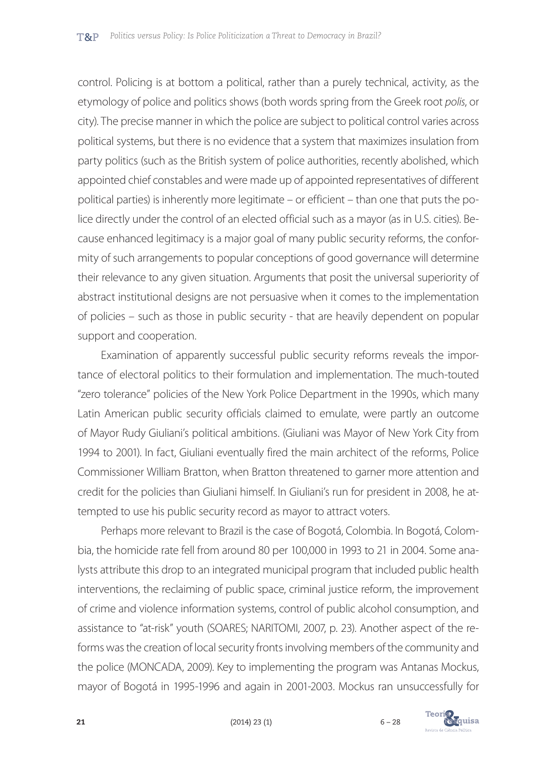control. Policing is at bottom a political, rather than a purely technical, activity, as the etymology of police and politics shows (both words spring from the Greek root *polis*, or city). The precise manner in which the police are subject to political control varies across political systems, but there is no evidence that a system that maximizes insulation from party politics (such as the British system of police authorities, recently abolished, which appointed chief constables and were made up of appointed representatives of different political parties) is inherently more legitimate – or efficient – than one that puts the police directly under the control of an elected official such as a mayor (as in U.S. cities). Because enhanced legitimacy is a major goal of many public security reforms, the conformity of such arrangements to popular conceptions of good governance will determine their relevance to any given situation. Arguments that posit the universal superiority of abstract institutional designs are not persuasive when it comes to the implementation of policies – such as those in public security - that are heavily dependent on popular support and cooperation.

Examination of apparently successful public security reforms reveals the importance of electoral politics to their formulation and implementation. The much-touted "zero tolerance" policies of the New York Police Department in the 1990s, which many Latin American public security officials claimed to emulate, were partly an outcome of Mayor Rudy Giuliani's political ambitions. (Giuliani was Mayor of New York City from 1994 to 2001). In fact, Giuliani eventually fired the main architect of the reforms, Police Commissioner William Bratton, when Bratton threatened to garner more attention and credit for the policies than Giuliani himself. In Giuliani's run for president in 2008, he attempted to use his public security record as mayor to attract voters.

Perhaps more relevant to Brazil is the case of Bogotá, Colombia. In Bogotá, Colombia, the homicide rate fell from around 80 per 100,000 in 1993 to 21 in 2004. Some analysts attribute this drop to an integrated municipal program that included public health interventions, the reclaiming of public space, criminal justice reform, the improvement of crime and violence information systems, control of public alcohol consumption, and assistance to "at-risk" youth (SOARES; NARITOMI, 2007, p. 23). Another aspect of the reforms was the creation of local security fronts involving members of the community and the police (MONCADA, 2009). Key to implementing the program was Antanas Mockus, mayor of Bogotá in 1995-1996 and again in 2001-2003. Mockus ran unsuccessfully for

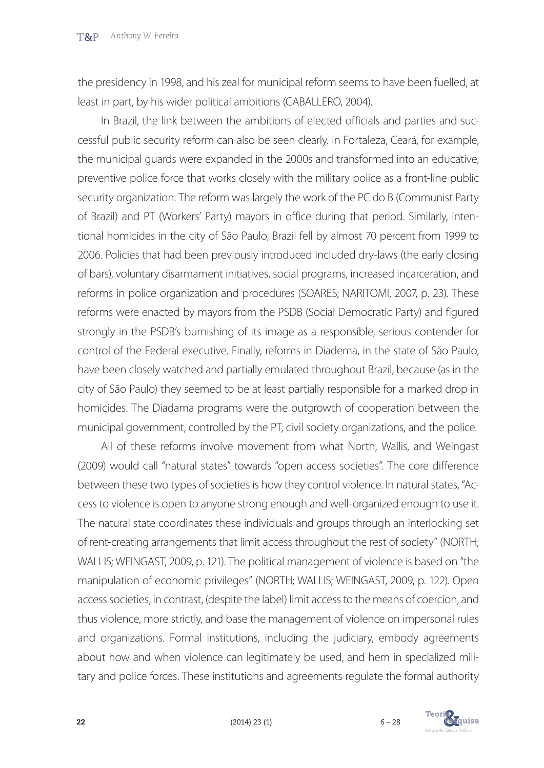the presidency in 1998, and his zeal for municipal reform seems to have been fuelled, at least in part, by his wider political ambitions (CABALLERO, 2004).

In Brazil, the link between the ambitions of elected officials and parties and successful public security reform can also be seen clearly. In Fortaleza, Ceará, for example, the municipal guards were expanded in the 2000s and transformed into an educative, preventive police force that works closely with the military police as a front-line public security organization. The reform was largely the work of the PC do B (Communist Party of Brazil) and PT (Workers' Party) mayors in office during that period. Similarly, intentional homicides in the city of São Paulo, Brazil fell by almost 70 percent from 1999 to 2006. Policies that had been previously introduced included dry-laws (the early closing of bars), voluntary disarmament initiatives, social programs, increased incarceration, and reforms in police organization and procedures (SOARES; NARITOMI, 2007, p. 23). These reforms were enacted by mayors from the PSDB (Social Democratic Party) and figured strongly in the PSDB's burnishing of its image as a responsible, serious contender for control of the Federal executive. Finally, reforms in Diadema, in the state of São Paulo, have been closely watched and partially emulated throughout Brazil, because (as in the city of São Paulo) they seemed to be at least partially responsible for a marked drop in homicides. The Diadama programs were the outgrowth of cooperation between the municipal government, controlled by the PT, civil society organizations, and the police.

All of these reforms involve movement from what North, Wallis, and Weingast (2009) would call "natural states" towards "open access societies". The core difference between these two types of societies is how they control violence. In natural states, "Access to violence is open to anyone strong enough and well-organized enough to use it. The natural state coordinates these individuals and groups through an interlocking set of rent-creating arrangements that limit access throughout the rest of society" (NORTH; WALLIS; WEINGAST, 2009, p. 121). The political management of violence is based on "the manipulation of economic privileges" (NORTH; WALLIS; WEINGAST, 2009, p. 122). Open access societies, in contrast, (despite the label) limit access to the means of coercion, and thus violence, more strictly, and base the management of violence on impersonal rules and organizations. Formal institutions, including the judiciary, embody agreements about how and when violence can legitimately be used, and hem in specialized military and police forces. These institutions and agreements regulate the formal authority

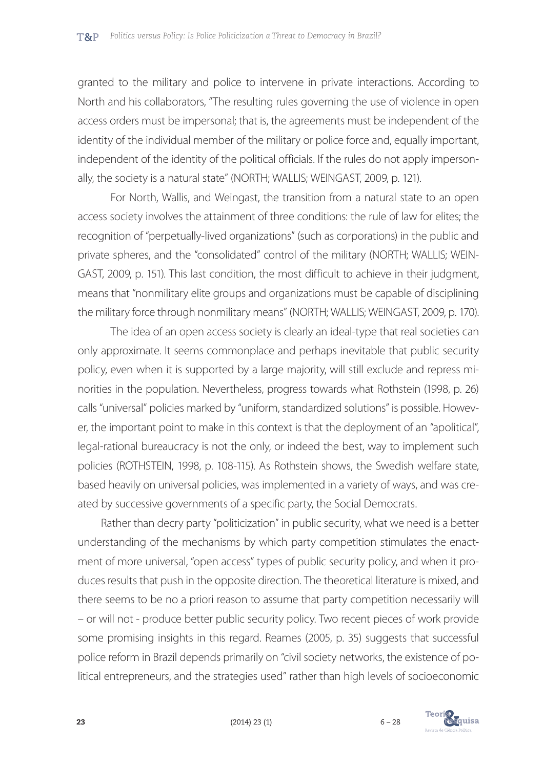granted to the military and police to intervene in private interactions. According to North and his collaborators, "The resulting rules governing the use of violence in open access orders must be impersonal; that is, the agreements must be independent of the identity of the individual member of the military or police force and, equally important, independent of the identity of the political officials. If the rules do not apply impersonally, the society is a natural state" (NORTH; WALLIS; WEINGAST, 2009, p. 121).

For North, Wallis, and Weingast, the transition from a natural state to an open access society involves the attainment of three conditions: the rule of law for elites; the recognition of "perpetually-lived organizations" (such as corporations) in the public and private spheres, and the "consolidated" control of the military (NORTH; WALLIS; WEIN-GAST, 2009, p. 151). This last condition, the most difficult to achieve in their judgment, means that "nonmilitary elite groups and organizations must be capable of disciplining the military force through nonmilitary means" (NORTH; WALLIS; WEINGAST, 2009, p. 170).

The idea of an open access society is clearly an ideal-type that real societies can only approximate. It seems commonplace and perhaps inevitable that public security policy, even when it is supported by a large majority, will still exclude and repress minorities in the population. Nevertheless, progress towards what Rothstein (1998, p. 26) calls "universal" policies marked by "uniform, standardized solutions" is possible. However, the important point to make in this context is that the deployment of an "apolitical", legal-rational bureaucracy is not the only, or indeed the best, way to implement such policies (ROTHSTEIN, 1998, p. 108-115). As Rothstein shows, the Swedish welfare state, based heavily on universal policies, was implemented in a variety of ways, and was created by successive governments of a specific party, the Social Democrats.

Rather than decry party "politicization" in public security, what we need is a better understanding of the mechanisms by which party competition stimulates the enactment of more universal, "open access" types of public security policy, and when it produces results that push in the opposite direction. The theoretical literature is mixed, and there seems to be no a priori reason to assume that party competition necessarily will – or will not - produce better public security policy. Two recent pieces of work provide some promising insights in this regard. Reames (2005, p. 35) suggests that successful police reform in Brazil depends primarily on "civil society networks, the existence of political entrepreneurs, and the strategies used" rather than high levels of socioeconomic

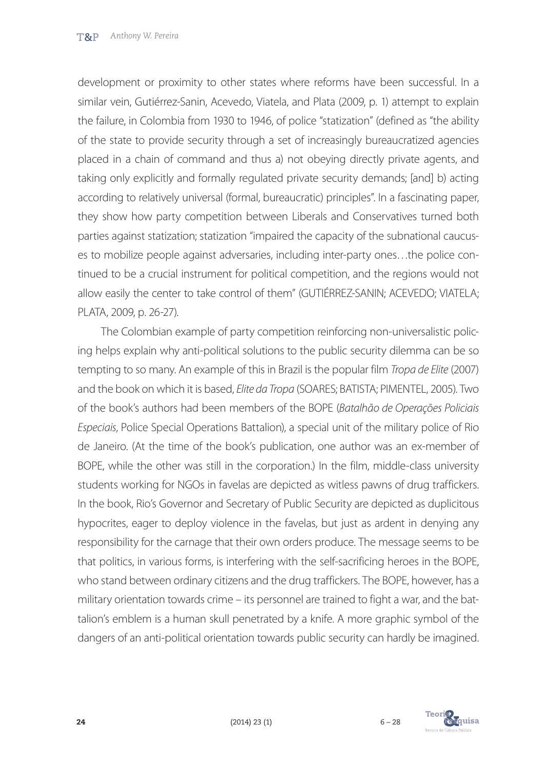development or proximity to other states where reforms have been successful. In a similar vein, Gutiérrez-Sanin, Acevedo, Viatela, and Plata (2009, p. 1) attempt to explain the failure, in Colombia from 1930 to 1946, of police "statization" (defined as "the ability of the state to provide security through a set of increasingly bureaucratized agencies placed in a chain of command and thus a) not obeying directly private agents, and taking only explicitly and formally regulated private security demands; [and] b) acting according to relatively universal (formal, bureaucratic) principles". In a fascinating paper, they show how party competition between Liberals and Conservatives turned both parties against statization; statization "impaired the capacity of the subnational caucuses to mobilize people against adversaries, including inter-party ones…the police continued to be a crucial instrument for political competition, and the regions would not allow easily the center to take control of them" (GUTIÉRREZ-SANIN; ACEVEDO; VIATELA; PLATA, 2009, p. 26-27).

The Colombian example of party competition reinforcing non-universalistic policing helps explain why anti-political solutions to the public security dilemma can be so tempting to so many. An example of this in Brazil is the popular film *Tropa de Elite* (2007) and the book on which it is based, *Elite da Tropa* (SOARES; BATISTA; PIMENTEL, 2005). Two of the book's authors had been members of the BOPE (*Batalhão de Operações Policiais Especiais*, Police Special Operations Battalion), a special unit of the military police of Rio de Janeiro. (At the time of the book's publication, one author was an ex-member of BOPE, while the other was still in the corporation.) In the film, middle-class university students working for NGOs in favelas are depicted as witless pawns of drug traffickers. In the book, Rio's Governor and Secretary of Public Security are depicted as duplicitous hypocrites, eager to deploy violence in the favelas, but just as ardent in denying any responsibility for the carnage that their own orders produce. The message seems to be that politics, in various forms, is interfering with the self-sacrificing heroes in the BOPE, who stand between ordinary citizens and the drug traffickers. The BOPE, however, has a military orientation towards crime – its personnel are trained to fight a war, and the battalion's emblem is a human skull penetrated by a knife. A more graphic symbol of the dangers of an anti-political orientation towards public security can hardly be imagined.

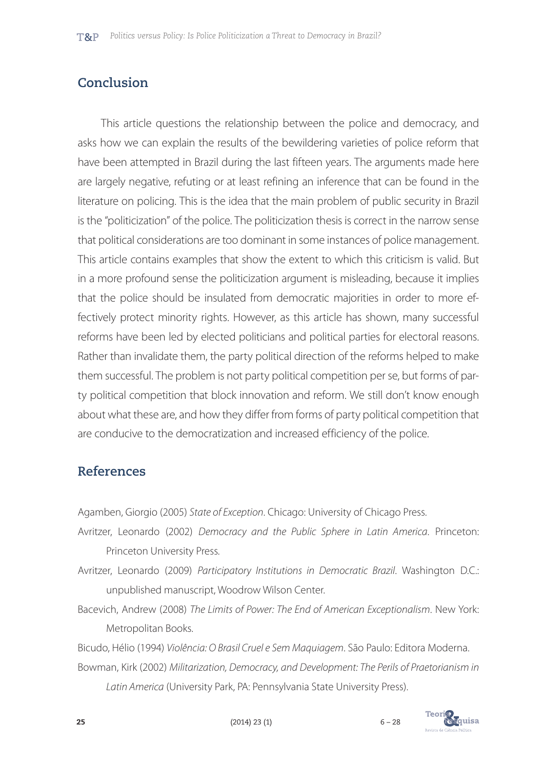## **Conclusion**

This article questions the relationship between the police and democracy, and asks how we can explain the results of the bewildering varieties of police reform that have been attempted in Brazil during the last fifteen years. The arguments made here are largely negative, refuting or at least refining an inference that can be found in the literature on policing. This is the idea that the main problem of public security in Brazil is the "politicization" of the police. The politicization thesis is correct in the narrow sense that political considerations are too dominant in some instances of police management. This article contains examples that show the extent to which this criticism is valid. But in a more profound sense the politicization argument is misleading, because it implies that the police should be insulated from democratic majorities in order to more effectively protect minority rights. However, as this article has shown, many successful reforms have been led by elected politicians and political parties for electoral reasons. Rather than invalidate them, the party political direction of the reforms helped to make them successful. The problem is not party political competition per se, but forms of party political competition that block innovation and reform. We still don't know enough about what these are, and how they differ from forms of party political competition that are conducive to the democratization and increased efficiency of the police.

#### **References**

Agamben, Giorgio (2005) *State of Exception*. Chicago: University of Chicago Press.

- Avritzer, Leonardo (2002) *Democracy and the Public Sphere in Latin America*. Princeton: Princeton University Press.
- Avritzer, Leonardo (2009) *Participatory Institutions in Democratic Brazil*. Washington D.C.: unpublished manuscript, Woodrow Wilson Center.
- Bacevich, Andrew (2008) *The Limits of Power: The End of American Exceptionalism*. New York: Metropolitan Books.
- Bicudo, Hélio (1994) *Violência: O Brasil Cruel e Sem Maquiagem*. São Paulo: Editora Moderna.
- Bowman, Kirk (2002) *Militarization, Democracy, and Development: The Perils of Praetorianism in Latin America* (University Park, PA: Pennsylvania State University Press).

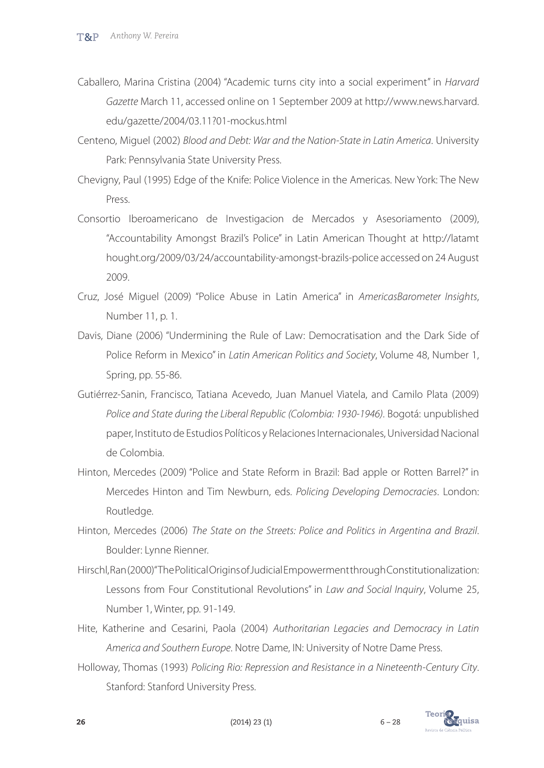- Caballero, Marina Cristina (2004) "Academic turns city into a social experiment" in *Harvard Gazette* March 11, accessed online on 1 September 2009 at http://www.news.harvard. edu/gazette/2004/03.11?01-mockus.html
- Centeno, Miguel (2002) *Blood and Debt: War and the Nation-State in Latin America*. University Park: Pennsylvania State University Press.
- Chevigny, Paul (1995) Edge of the Knife: Police Violence in the Americas. New York: The New Press.
- Consortio Iberoamericano de Investigacion de Mercados y Asesoriamento (2009), "Accountability Amongst Brazil's Police" in Latin American Thought at http://latamt hought.org/2009/03/24/accountability-amongst-brazils-police accessed on 24 August 2009.
- Cruz, José Miguel (2009) "Police Abuse in Latin America" in *AmericasBarometer Insights*, Number 11, p. 1.
- Davis, Diane (2006) "Undermining the Rule of Law: Democratisation and the Dark Side of Police Reform in Mexico" in *Latin American Politics and Society*, Volume 48, Number 1, Spring, pp. 55-86.
- Gutiérrez-Sanin, Francisco, Tatiana Acevedo, Juan Manuel Viatela, and Camilo Plata (2009) *Police and State during the Liberal Republic (Colombia: 1930-1946)*. Bogotá: unpublished paper, Instituto de Estudios Políticos y Relaciones Internacionales, Universidad Nacional de Colombia.
- Hinton, Mercedes (2009) "Police and State Reform in Brazil: Bad apple or Rotten Barrel?" in Mercedes Hinton and Tim Newburn, eds. *Policing Developing Democracies*. London: Routledge.
- Hinton, Mercedes (2006) *The State on the Streets: Police and Politics in Argentina and Brazil*. Boulder: Lynne Rienner.
- Hirschl, Ran (2000) "The Political Origins of Judicial Empowerment through Constitutionalization: Lessons from Four Constitutional Revolutions" in *Law and Social Inquiry*, Volume 25, Number 1, Winter, pp. 91-149.
- Hite, Katherine and Cesarini, Paola (2004) *Authoritarian Legacies and Democracy in Latin America and Southern Europe*. Notre Dame, IN: University of Notre Dame Press.
- Holloway, Thomas (1993) *Policing Rio: Repression and Resistance in a Nineteenth-Century City*. Stanford: Stanford University Press.

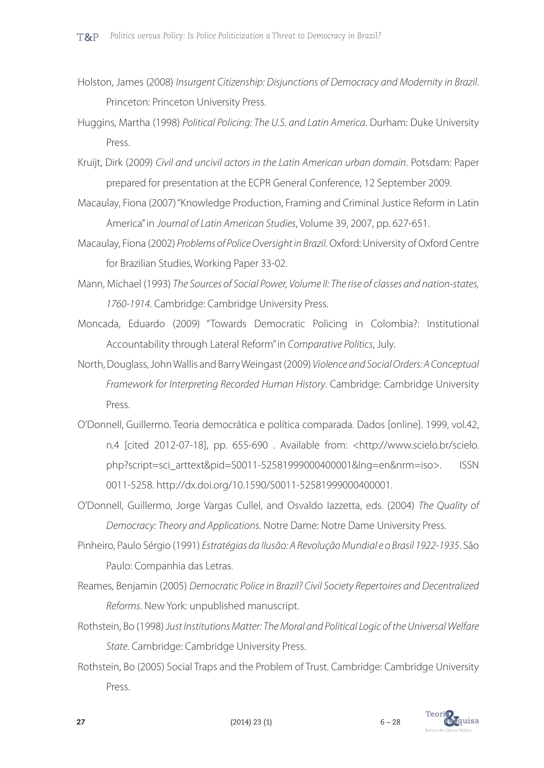- Holston, James (2008) *Insurgent Citizenship: Disjunctions of Democracy and Modernity in Brazil*. Princeton: Princeton University Press.
- Huggins, Martha (1998) *Political Policing: The U.S. and Latin America*. Durham: Duke University Press.
- Kruijt, Dirk (2009) *Civil and uncivil actors in the Latin American urban domain*. Potsdam: Paper prepared for presentation at the ECPR General Conference, 12 September 2009.
- Macaulay, Fiona (2007) "Knowledge Production, Framing and Criminal Justice Reform in Latin America" in *Journal of Latin American Studies*, Volume 39, 2007, pp. 627-651.
- Macaulay, Fiona (2002) *Problems of Police Oversight in Brazil*. Oxford: University of Oxford Centre for Brazilian Studies, Working Paper 33-02.
- Mann, Michael (1993) *The Sources of Social Power, Volume II: The rise of classes and nation-states, 1760-1914*. Cambridge: Cambridge University Press.
- Moncada, Eduardo (2009) "Towards Democratic Policing in Colombia?: Institutional Accountability through Lateral Reform" in *Comparative Politics*, July.
- North, Douglass, John Wallis and Barry Weingast (2009) *Violence and Social Orders: A Conceptual Framework for Interpreting Recorded Human History*. Cambridge: Cambridge University Press.
- O'Donnell, Guillermo. Teoria democrática e política comparada. Dados [online]. 1999, vol.42, n.4 [cited 2012-07-18], pp. 655-690 . Available from: <http://www.scielo.br/scielo. php?script=sci\_arttext&pid=S0011-52581999000400001&lng=en&nrm=iso>. ISSN 0011-5258. http://dx.doi.org/10.1590/S0011-52581999000400001.
- O'Donnell, Guillermo, Jorge Vargas Cullel, and Osvaldo Iazzetta, eds. (2004) *The Quality of Democracy: Theory and Applications*. Notre Dame: Notre Dame University Press.
- Pinheiro, Paulo Sérgio (1991) *Estratégias da Ilusão: A Revolução Mundial e o Brasil 1922-1935*. São Paulo: Companhia das Letras.
- Reames, Benjamin (2005) *Democratic Police in Brazil? Civil Society Repertoires and Decentralized Reforms*. New York: unpublished manuscript.
- Rothstein, Bo (1998) *Just Institutions Matter: The Moral and Political Logic of the Universal Welfare State*. Cambridge: Cambridge University Press.
- Rothstein, Bo (2005) Social Traps and the Problem of Trust. Cambridge: Cambridge University Press.